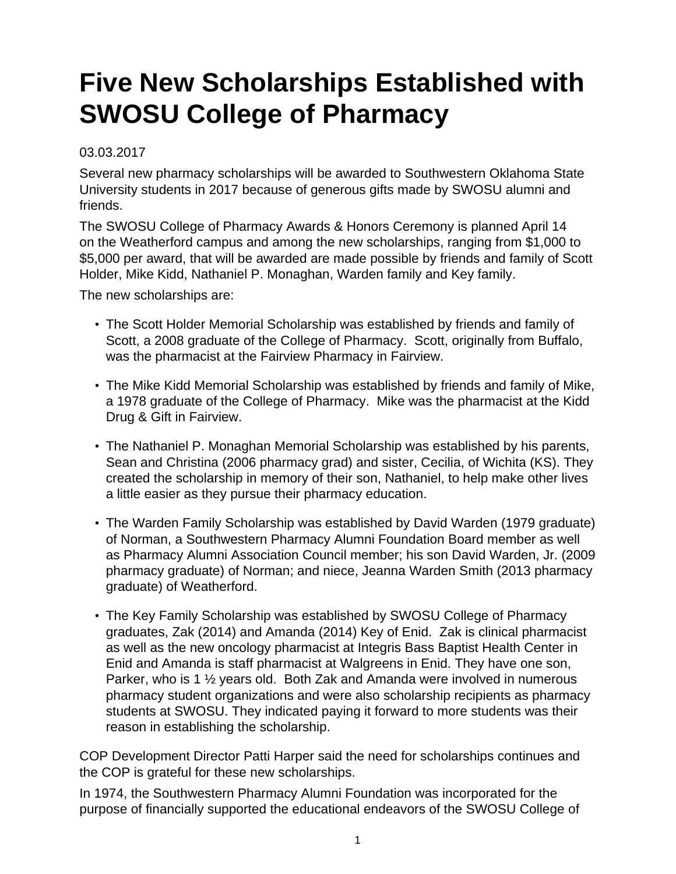## **Five New Scholarships Established with SWOSU College of Pharmacy**

## 03.03.2017

Several new pharmacy scholarships will be awarded to Southwestern Oklahoma State University students in 2017 because of generous gifts made by SWOSU alumni and friends.

The SWOSU College of Pharmacy Awards & Honors Ceremony is planned April 14 on the Weatherford campus and among the new scholarships, ranging from \$1,000 to \$5,000 per award, that will be awarded are made possible by friends and family of Scott Holder, Mike Kidd, Nathaniel P. Monaghan, Warden family and Key family.

The new scholarships are:

- The Scott Holder Memorial Scholarship was established by friends and family of Scott, a 2008 graduate of the College of Pharmacy. Scott, originally from Buffalo, was the pharmacist at the Fairview Pharmacy in Fairview.
- The Mike Kidd Memorial Scholarship was established by friends and family of Mike, a 1978 graduate of the College of Pharmacy. Mike was the pharmacist at the Kidd Drug & Gift in Fairview.
- The Nathaniel P. Monaghan Memorial Scholarship was established by his parents, Sean and Christina (2006 pharmacy grad) and sister, Cecilia, of Wichita (KS). They created the scholarship in memory of their son, Nathaniel, to help make other lives a little easier as they pursue their pharmacy education.
- The Warden Family Scholarship was established by David Warden (1979 graduate) of Norman, a Southwestern Pharmacy Alumni Foundation Board member as well as Pharmacy Alumni Association Council member; his son David Warden, Jr. (2009 pharmacy graduate) of Norman; and niece, Jeanna Warden Smith (2013 pharmacy graduate) of Weatherford.
- The Key Family Scholarship was established by SWOSU College of Pharmacy graduates, Zak (2014) and Amanda (2014) Key of Enid. Zak is clinical pharmacist as well as the new oncology pharmacist at Integris Bass Baptist Health Center in Enid and Amanda is staff pharmacist at Walgreens in Enid. They have one son, Parker, who is 1 ½ years old. Both Zak and Amanda were involved in numerous pharmacy student organizations and were also scholarship recipients as pharmacy students at SWOSU. They indicated paying it forward to more students was their reason in establishing the scholarship.

COP Development Director Patti Harper said the need for scholarships continues and the COP is grateful for these new scholarships.

In 1974, the Southwestern Pharmacy Alumni Foundation was incorporated for the purpose of financially supported the educational endeavors of the SWOSU College of